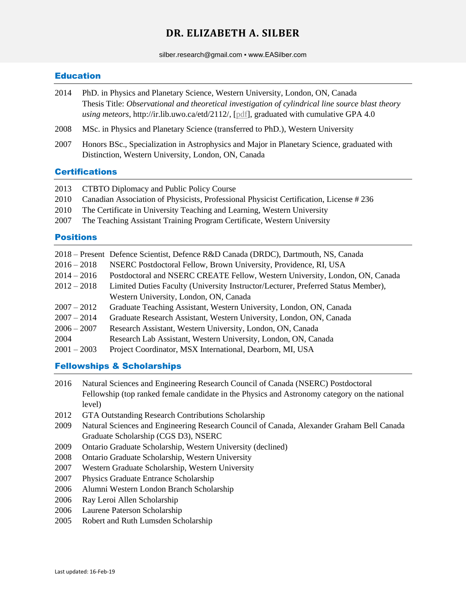# **DR. ELIZABETH A. SILBER**

silber.research@gmail.com • www.EASilber.com

### Education

- 2014 PhD. in Physics and Planetary Science, Western University, London, ON, Canada Thesis Title: *Observational and theoretical investigation of cylindrical line source blast theory using meteors*, http://ir.lib.uwo.ca/etd/2112/, [\[pdf\]](http://ir.lib.uwo.ca/cgi/viewcontent.cgi?article=3578&context=etd), graduated with cumulative GPA 4.0
- 2008 MSc. in Physics and Planetary Science (transferred to PhD.), Western University
- 2007 Honors BSc., Specialization in Astrophysics and Major in Planetary Science, graduated with Distinction, Western University, London, ON, Canada

## **Certifications**

| 2013 |  | CTBTO Diplomacy and Public Policy Course |
|------|--|------------------------------------------|
|      |  |                                          |

- 2010 Canadian Association of Physicists, Professional Physicist Certification, License # 236
- 2010 The Certificate in University Teaching and Learning, Western University
- 2007 The Teaching Assistant Training Program Certificate, Western University

### **Positions**

|               | 2018 – Present Defence Scientist, Defence R&D Canada (DRDC), Dartmouth, NS, Canada |  |  |
|---------------|------------------------------------------------------------------------------------|--|--|
| $2016 - 2018$ | NSERC Postdoctoral Fellow, Brown University, Providence, RI, USA                   |  |  |
| $2014 - 2016$ | Postdoctoral and NSERC CREATE Fellow, Western University, London, ON, Canada       |  |  |
| $2012 - 2018$ | Limited Duties Faculty (University Instructor/Lecturer, Preferred Status Member),  |  |  |
|               | Western University, London, ON, Canada                                             |  |  |
| $2007 - 2012$ | Graduate Teaching Assistant, Western University, London, ON, Canada                |  |  |
| $2007 - 2014$ | Graduate Research Assistant, Western University, London, ON, Canada                |  |  |
| $2006 - 2007$ | Research Assistant, Western University, London, ON, Canada                         |  |  |
| 2004          | Research Lab Assistant, Western University, London, ON, Canada                     |  |  |
| $2001 - 2003$ | Project Coordinator, MSX International, Dearborn, MI, USA                          |  |  |
|               |                                                                                    |  |  |

### Fellowships & Scholarships

| 2016 | Natural Sciences and Engineering Research Council of Canada (NSERC) Postdoctoral              |
|------|-----------------------------------------------------------------------------------------------|
|      | Fellowship (top ranked female candidate in the Physics and Astronomy category on the national |
|      | level)                                                                                        |
| 2012 | <b>GTA Outstanding Research Contributions Scholarship</b>                                     |
| 2009 | Natural Sciences and Engineering Research Council of Canada, Alexander Graham Bell Canada     |
|      | Graduate Scholarship (CGS D3), NSERC                                                          |
| 2009 | Ontario Graduate Scholarship, Western University (declined)                                   |
| 2008 | Ontario Graduate Scholarship, Western University                                              |
| 2007 | Western Graduate Scholarship, Western University                                              |
| 2007 | Physics Graduate Entrance Scholarship                                                         |
| 2006 | Alumni Western London Branch Scholarship                                                      |
| 2006 | Ray Leroi Allen Scholarship                                                                   |
| 2006 | Laurene Paterson Scholarship                                                                  |
| 2005 | Robert and Ruth Lumsden Scholarship                                                           |
|      |                                                                                               |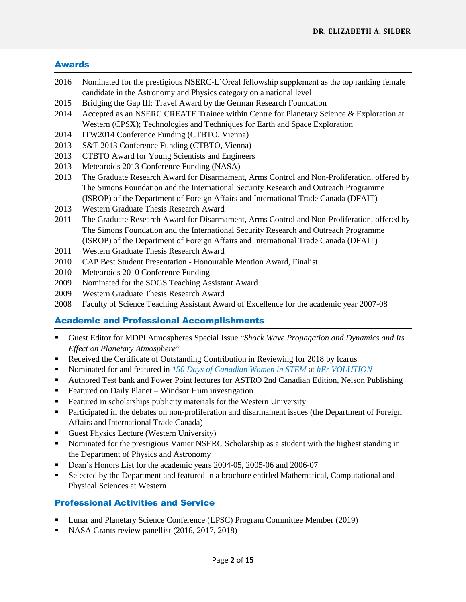### Awards

- 2016 Nominated for the prestigious NSERC-L'Oréal fellowship supplement as the top ranking female candidate in the Astronomy and Physics category on a national level
- 2015 Bridging the Gap III: Travel Award by the German Research Foundation
- 2014 Accepted as an NSERC CREATE Trainee within Centre for Planetary Science & Exploration at Western (CPSX); Technologies and Techniques for Earth and Space Exploration
- 2014 ITW2014 Conference Funding (CTBTO, Vienna)
- 2013 S&T 2013 Conference Funding (CTBTO, Vienna)
- 2013 CTBTO Award for Young Scientists and Engineers
- 2013 Meteoroids 2013 Conference Funding (NASA)
- 2013 The Graduate Research Award for Disarmament, Arms Control and Non-Proliferation, offered by The Simons Foundation and the International Security Research and Outreach Programme (ISROP) of the Department of Foreign Affairs and International Trade Canada (DFAIT)
- 2013 Western Graduate Thesis Research Award
- 2011 The Graduate Research Award for Disarmament, Arms Control and Non-Proliferation, offered by The Simons Foundation and the International Security Research and Outreach Programme (ISROP) of the Department of Foreign Affairs and International Trade Canada (DFAIT)
- 2011 Western Graduate Thesis Research Award
- 2010 CAP Best Student Presentation Honourable Mention Award, Finalist
- 2010 Meteoroids 2010 Conference Funding
- 2009 Nominated for the SOGS Teaching Assistant Award
- 2009 Western Graduate Thesis Research Award
- 2008 Faculty of Science Teaching Assistant Award of Excellence for the academic year 2007-08

## Academic and Professional Accomplishments

- Guest Editor for MDPI Atmospheres Special Issue "*Shock Wave Propagation and Dynamics and Its Effect on Planetary Atmosphere*"
- **Received the Certificate of Outstanding Contribution in Reviewing for 2018 by Icarus**
- Nominated for and featured in *[150 Days of Canadian Women in STEM](http://mailchi.mp/e8b69c140931/canwomenstem150-150-days-of-canadian-women-in-stem-week-29-wrap-up)* at *[hEr VOLUTION](http://www.hervolution.org/)*
- Authored Test bank and Power Point lectures for ASTRO 2nd Canadian Edition, Nelson Publishing
- Featured on Daily Planet Windsor Hum investigation
- Featured in scholarships publicity materials for the Western University
- Participated in the debates on non-proliferation and disarmament issues (the Department of Foreign Affairs and International Trade Canada)
- Guest Physics Lecture (Western University)
- Nominated for the prestigious Vanier NSERC Scholarship as a student with the highest standing in the Department of Physics and Astronomy
- Dean's Honors List for the academic years 2004-05, 2005-06 and 2006-07
- Selected by the Department and featured in a brochure entitled Mathematical, Computational and Physical Sciences at Western

## Professional Activities and Service

- Lunar and Planetary Science Conference (LPSC) Program Committee Member (2019)
- NASA Grants review panellist (2016, 2017, 2018)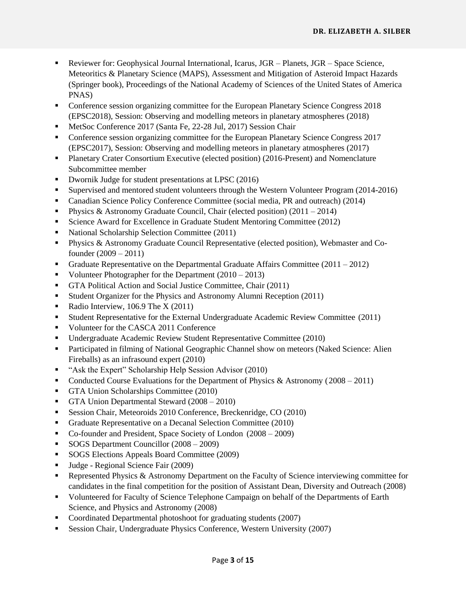- Reviewer for: Geophysical Journal International, Icarus, JGR Planets, JGR Space Science, Meteoritics & Planetary Science (MAPS), Assessment and Mitigation of Asteroid Impact Hazards (Springer book), Proceedings of the National Academy of Sciences of the United States of America PNAS)
- Conference session organizing committee for the European Planetary Science Congress 2018 (EPSC2018), Session: Observing and modelling meteors in planetary atmospheres (2018)
- MetSoc Conference 2017 (Santa Fe, 22-28 Jul, 2017) Session Chair
- Conference session organizing committee for the European Planetary Science Congress 2017 (EPSC2017), Session: Observing and modelling meteors in planetary atmospheres (2017)
- Planetary Crater Consortium Executive (elected position) (2016-Present) and Nomenclature Subcommittee member
- Dwornik Judge for student presentations at LPSC (2016)
- Supervised and mentored student volunteers through the Western Volunteer Program (2014-2016)
- Canadian Science Policy Conference Committee (social media, PR and outreach) (2014)
- **Physics & Astronomy Graduate Council, Chair (elected position) (2011 2014)**
- Science Award for Excellence in Graduate Student Mentoring Committee (2012)
- National Scholarship Selection Committee (2011)
- Physics & Astronomy Graduate Council Representative (elected position), Webmaster and Cofounder (2009 – 2011)
- Graduate Representative on the Departmental Graduate Affairs Committee (2011 2012)
- Volunteer Photographer for the Department  $(2010 2013)$
- GTA Political Action and Social Justice Committee, Chair (2011)
- Student Organizer for the Physics and Astronomy Alumni Reception (2011)
- Radio Interview,  $106.9$  The X (2011)
- Student Representative for the External Undergraduate Academic Review Committee (2011)
- Volunteer for the CASCA 2011 Conference
- Undergraduate Academic Review Student Representative Committee (2010)
- Participated in filming of National Geographic Channel show on meteors (Naked Science: Alien Fireballs) as an infrasound expert (2010)
- "Ask the Expert" Scholarship Help Session Advisor (2010)
- Conducted Course Evaluations for the Department of Physics & Astronomy (2008 2011)
- GTA Union Scholarships Committee (2010)
- GTA Union Departmental Steward (2008 2010)
- Session Chair, Meteoroids 2010 Conference, Breckenridge, CO (2010)
- Graduate Representative on a Decanal Selection Committee (2010)
- Co-founder and President, Space Society of London (2008 2009)
- SOGS Department Councillor  $(2008 2009)$
- SOGS Elections Appeals Board Committee (2009)
- Uldge Regional Science Fair (2009)
- Represented Physics  $\&$  Astronomy Department on the Faculty of Science interviewing committee for candidates in the final competition for the position of Assistant Dean, Diversity and Outreach (2008)
- Volunteered for Faculty of Science Telephone Campaign on behalf of the Departments of Earth Science, and Physics and Astronomy (2008)
- Coordinated Departmental photoshoot for graduating students (2007)
- Session Chair, Undergraduate Physics Conference, Western University (2007)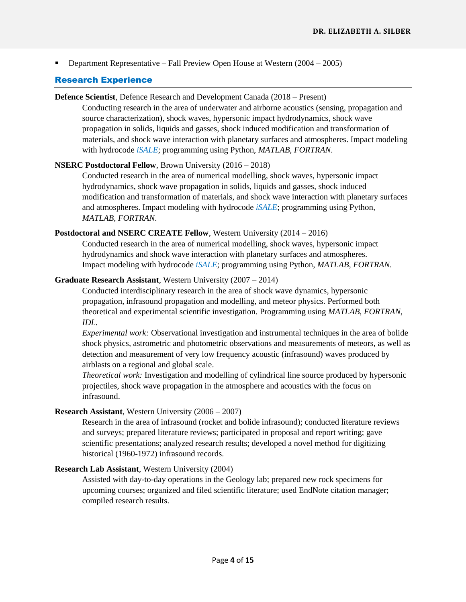**Department Representative – Fall Preview Open House at Western (2004 – 2005)** 

### Research Experience

#### **Defence Scientist**, Defence Research and Development Canada (2018 – Present)

Conducting research in the area of underwater and airborne acoustics (sensing, propagation and source characterization), shock waves, hypersonic impact hydrodynamics, shock wave propagation in solids, liquids and gasses, shock induced modification and transformation of materials, and shock wave interaction with planetary surfaces and atmospheres. Impact modeling with hydrocode *[iSALE](http://www.isale-code.de/)*; programming using Python, *MATLAB*, *FORTRAN*.

### **NSERC Postdoctoral Fellow**, Brown University (2016 – 2018)

Conducted research in the area of numerical modelling, shock waves, hypersonic impact hydrodynamics, shock wave propagation in solids, liquids and gasses, shock induced modification and transformation of materials, and shock wave interaction with planetary surfaces and atmospheres. Impact modeling with hydrocode *[iSALE](http://www.isale-code.de/)*; programming using Python, *MATLAB*, *FORTRAN*.

### **Postdoctoral and NSERC CREATE Fellow**, Western University (2014 – 2016)

Conducted research in the area of numerical modelling, shock waves, hypersonic impact hydrodynamics and shock wave interaction with planetary surfaces and atmospheres. Impact modeling with hydrocode *[iSALE](http://www.isale-code.de/)*; programming using Python, *MATLAB*, *FORTRAN*.

### **Graduate Research Assistant**, Western University (2007 – 2014)

Conducted interdisciplinary research in the area of shock wave dynamics, hypersonic propagation, infrasound propagation and modelling, and meteor physics. Performed both theoretical and experimental scientific investigation. Programming using *MATLAB*, *FORTRAN*, *IDL*.

*Experimental work:* Observational investigation and instrumental techniques in the area of bolide shock physics, astrometric and photometric observations and measurements of meteors, as well as detection and measurement of very low frequency acoustic (infrasound) waves produced by airblasts on a regional and global scale.

*Theoretical work:* Investigation and modelling of cylindrical line source produced by hypersonic projectiles, shock wave propagation in the atmosphere and acoustics with the focus on infrasound.

### **Research Assistant**, Western University (2006 – 2007)

Research in the area of infrasound (rocket and bolide infrasound); conducted literature reviews and surveys; prepared literature reviews; participated in proposal and report writing; gave scientific presentations; analyzed research results; developed a novel method for digitizing historical (1960-1972) infrasound records.

### **Research Lab Assistant**, Western University (2004)

Assisted with day-to-day operations in the Geology lab; prepared new rock specimens for upcoming courses; organized and filed scientific literature; used EndNote citation manager; compiled research results.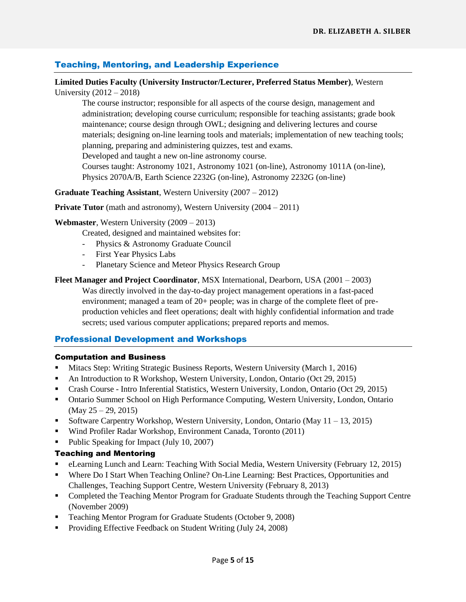## Teaching, Mentoring, and Leadership Experience

### **Limited Duties Faculty (University Instructor/Lecturer, Preferred Status Member)**, Western University (2012 – 2018)

The course instructor; responsible for all aspects of the course design, management and administration; developing course curriculum; responsible for teaching assistants; grade book maintenance; course design through OWL; designing and delivering lectures and course materials; designing on-line learning tools and materials; implementation of new teaching tools; planning, preparing and administering quizzes, test and exams. Developed and taught a new on-line astronomy course. Courses taught: Astronomy 1021, Astronomy 1021 (on-line), Astronomy 1011A (on-line), Physics 2070A/B, Earth Science 2232G (on-line), Astronomy 2232G (on-line)

## **Graduate Teaching Assistant**, Western University (2007 – 2012)

#### **Private Tutor** (math and astronomy), Western University (2004 – 2011)

#### **Webmaster**, Western University (2009 – 2013)

Created, designed and maintained websites for:

- Physics & Astronomy Graduate Council
- First Year Physics Labs
- Planetary Science and Meteor Physics Research Group
- **Fleet Manager and Project Coordinator**, MSX International, Dearborn, USA (2001 2003) Was directly involved in the day-to-day project management operations in a fast-paced environment; managed a team of 20+ people; was in charge of the complete fleet of preproduction vehicles and fleet operations; dealt with highly confidential information and trade secrets; used various computer applications; prepared reports and memos.

### Professional Development and Workshops

#### Computation and Business

- Mitacs Step: Writing Strategic Business Reports, Western University (March 1, 2016)
- An Introduction to R Workshop, Western University, London, Ontario (Oct 29, 2015)
- Crash Course Intro Inferential Statistics, Western University, London, Ontario (Oct 29, 2015)
- Ontario Summer School on High Performance Computing, Western University, London, Ontario  $(May 25 – 29, 2015)$
- Software Carpentry Workshop, Western University, London, Ontario (May  $11 13$ , 2015)
- Wind Profiler Radar Workshop, Environment Canada, Toronto (2011)
- Public Speaking for Impact (July 10, 2007)

### Teaching and Mentoring

- eLearning Lunch and Learn: Teaching With Social Media, Western University (February 12, 2015)
- Where Do I Start When Teaching Online? On-Line Learning: Best Practices, Opportunities and Challenges, Teaching Support Centre, Western University (February 8, 2013)
- Completed the Teaching Mentor Program for Graduate Students through the Teaching Support Centre (November 2009)
- Teaching Mentor Program for Graduate Students (October 9, 2008)
- Providing Effective Feedback on Student Writing (July 24, 2008)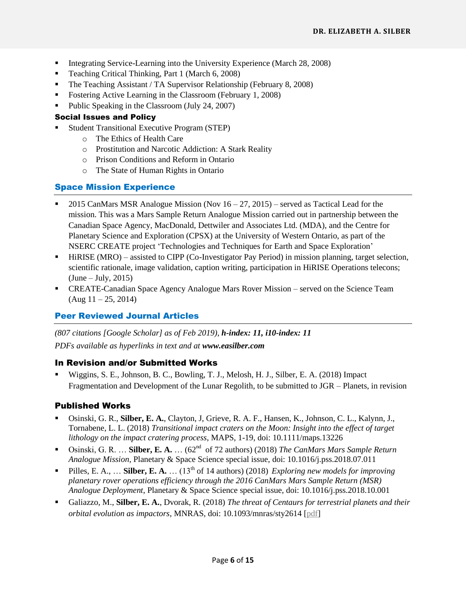- Integrating Service-Learning into the University Experience (March 28, 2008)
- Teaching Critical Thinking, Part 1 (March 6, 2008)
- The Teaching Assistant / TA Supervisor Relationship (February 8, 2008)
- Fostering Active Learning in the Classroom (February 1, 2008)
- Public Speaking in the Classroom (July 24, 2007)

### Social Issues and Policy

- Student Transitional Executive Program (STEP)
	- o The Ethics of Health Care
	- o Prostitution and Narcotic Addiction: A Stark Reality
	- o Prison Conditions and Reform in Ontario
	- o The State of Human Rights in Ontario

## Space Mission Experience

- 2015 CanMars MSR Analogue Mission (Nov  $16 27$ , 2015) served as Tactical Lead for the mission. This was a Mars Sample Return Analogue Mission carried out in partnership between the Canadian Space Agency, MacDonald, Dettwiler and Associates Ltd. (MDA), and the Centre for Planetary Science and Exploration (CPSX) at the University of Western Ontario, as part of the NSERC CREATE project 'Technologies and Techniques for Earth and Space Exploration'
- HiRISE (MRO) assisted to CIPP (Co-Investigator Pay Period) in mission planning, target selection, scientific rationale, image validation, caption writing, participation in HiRISE Operations telecons;  $(June - July, 2015)$
- **CREATE-Canadian Space Agency Analogue Mars Rover Mission served on the Science Team**  $(Aug 11 - 25, 2014)$

## Peer Reviewed Journal Articles

*(807 citations [Google Scholar] as of Feb 2019), h-index: 11, i10-index: 11 PDFs available as hyperlinks in text and at www.easilber.com*

## In Revision and/or Submitted Works

 Wiggins, S. E., Johnson, B. C., Bowling, T. J., Melosh, H. J., Silber, E. A. (2018) Impact Fragmentation and Development of the Lunar Regolith, to be submitted to JGR – Planets, in revision

## Published Works

- Osinski, G. R., **Silber, E. A.**, Clayton, J, Grieve, R. A. F., Hansen, K., Johnson, C. L., Kalynn, J., Tornabene, L. L. (2018) *Transitional impact craters on the Moon: Insight into the effect of target lithology on the impact cratering process*, MAPS, 1-19, doi: 10.1111/maps.13226
- Osinski, G. R. ... Silber, E. A. ... (62<sup>nd</sup> of 72 authors) (2018) *The CanMars Mars Sample Return Analogue Mission,* Planetary & Space Science special issue, doi: 10.1016/j.pss.2018.07.011
- **Pilles, E. A., ... Silber, E. A.** ... (13<sup>th</sup> of 14 authors) (2018) *Exploring new models for improving planetary rover operations efficiency through the 2016 CanMars Mars Sample Return (MSR) Analogue Deployment*, Planetary & Space Science special issue, doi: 10.1016/j.pss.2018.10.001
- Galiazzo, M., **Silber, E. A.**, Dvorak, R. (2018) *The threat of Centaurs for terrestrial planets and their orbital evolution as impactors*, MNRAS, doi: 10.1093/mnras/sty2614 [\[pdf\]](http://astro.uwo.ca/~esilber/docs/2018_galiazzo-etal_centaurs.pdf)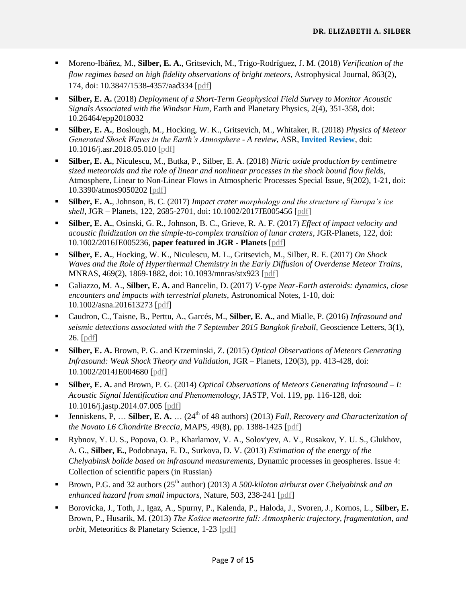- Moreno-Ibáñez, M., **Silber, E. A.**, Gritsevich, M., Trigo-Rodríguez, J. M. (2018) *Verification of the flow regimes based on high fidelity observations of bright meteors*, Astrophysical Journal, 863(2), 174, doi: 10.3847/1538-4357/aad334 [\[pdf\]](http://astro.uwo.ca/~esilber/docs/2018_mi-etal_regimes.pdf)
- **Silber, E. A.** (2018) *Deployment of a Short-Term Geophysical Field Survey to Monitor Acoustic Signals Associated with the Windsor Hum*, Earth and Planetary Physics, 2(4), 351-358, doi: 10.26464/epp2018032
- **Silber, E. A.**, Boslough, M., Hocking, W. K., Gritsevich, M., Whitaker, R. (2018) *Physics of Meteor Generated Shock Waves in the Earth's Atmosphere - A review*, ASR, **Invited Review**, doi: 10.1016/j.asr.2018.05.010 [\[pdf\]](https://arxiv.org/ftp/arxiv/papers/1805/1805.07842.pdf)
- **Silber, E. A.**, Niculescu, M., Butka, P., Silber, E. A. (2018) *Nitric oxide production by centimetre sized meteoroids and the role of linear and nonlinear processes in the shock bound flow fields*, Atmosphere, Linear to Non-Linear Flows in Atmospheric Processes Special Issue, 9(202), 1-21, doi: 10.3390/atmos9050202 [\[pdf\]](http://www.mdpi.com/2073-4433/9/5/202/pdf)
- **Silber, E. A.**, Johnson, B. C. (2017) *Impact crater morphology and the structure of Europa's ice shell*, JGR – Planets, 122, 2685-2701, doi: 10.1002/2017JE005456 [\[pdf\]](https://arxiv.org/pdf/1711.08997.pdf)
- **Silber, E. A.**, Osinski, G. R., Johnson, B. C., Grieve, R. A. F. (2017) *Effect of impact velocity and acoustic fluidization on the simple-to-complex transition of lunar craters*, JGR-Planets, 122, doi: 10.1002/2016JE005236, **paper featured in JGR - Planets** [\[pdf\]](http://astro.uwo.ca/~esilber/docs/2017_silber-etal_AF_transitional_craters.pdf)
- **Silber, E. A.**, Hocking, W. K., Niculescu, M. L., Gritsevich, M., Silber, R. E. (2017) *On Shock Waves and the Role of Hyperthermal Chemistry in the Early Diffusion of Overdense Meteor Trains*, MNRAS, 469(2), 1869-1882, doi: 10.1093/mnras/stx923 [\[pdf\]](https://arxiv.org/ftp/arxiv/papers/1704/1704.03830.pdf)
- Galiazzo, M. A., **Silber, E. A.** and Bancelin, D. (2017) *V-type Near-Earth asteroids: dynamics, close encounters and impacts with terrestrial planets*, Astronomical Notes, 1-10, doi: 10.1002/asna.201613273 [\[pdf\]](http://astro.uwo.ca/~esilber/docs/2017_galiazzo-etal_V-types.pdf)
- Caudron, C., Taisne, B., Perttu, A., Garcés, M., **Silber, E. A.**, and Mialle, P. (2016) *Infrasound and seismic detections associated with the 7 September 2015 Bangkok fireball*, Geoscience Letters, 3(1), 26. [\[pdf\]](http://astro.uwo.ca/~esilber/docs/2016_Bangkok.pdf)
- **Silber, E. A.** Brown, P. G. and Krzeminski, Z. (2015) *Optical Observations of Meteors Generating Infrasound: Weak Shock Theory and Validation*, JGR – Planets, 120(3), pp. 413-428, doi: 10.1002/2014JE004680 [\[pdf\]](http://astro.uwo.ca/~esilber/docs/2015_Silber-etal_Meteor_Infrasound_II.pdf)
- **Silber, E. A.** and Brown, P. G. (2014) *Optical Observations of Meteors Generating Infrasound – I: Acoustic Signal Identification and Phenomenology*, JASTP, Vol. 119, pp. 116-128, doi: 10.1016/j.jastp.2014.07.005 [\[pdf\]](http://astro.uwo.ca/~esilber/docs/2015_Silber-etal_Meteor_Infrasound_I.pdf)
- Jenniskens, P, ... **Silber, E. A.** ... (24<sup>th</sup> of 48 authors) (2013) *Fall, Recovery and Characterization of the Novato L6 Chondrite Breccia*, MAPS, 49(8), pp. 1388-1425 [\[pdf\]](http://astro.uwo.ca/~esilber/docs/2014_jenniskens-etal_Novato.pdf)
- Rybnov, Y. U. S., Popova, O. P., Kharlamov, V. A., Solov'yev, A. V., Rusakov, Y. U. S., Glukhov, A. G., **Silber, E.**, Podobnaya, E. D., Surkova, D. V. (2013) *Estimation of the energy of the Chelyabinsk bolide based on infrasound measurements*, Dynamic processes in geospheres. Issue 4: Collection of scientific papers (in Russian)
- Brown, P.G. and 32 authors (25<sup>th</sup> author) (2013) *A 500-kiloton airburst over Chelyabinsk and an enhanced hazard from small impactors*, Nature, 503, 238-241 [\[pdf\]](http://astro.uwo.ca/~esilber/docs/2014_brown-etal_Chelyabinsk.pdf)
- Borovicka, J., Toth, J., Igaz, A., Spurny, P., Kalenda, P., Haloda, J., Svoren, J., Kornos, L., **Silber, E.** Brown, P., Husarik, M. (2013) *The Košice meteorite fall: Atmospheric trajectory, fragmentation, and orbit*, Meteoritics & Planetary Science, 1-23 [\[pdf\]](http://astro.uwo.ca/~esilber/docs/2013_borovicka-etal_kosice.pdf)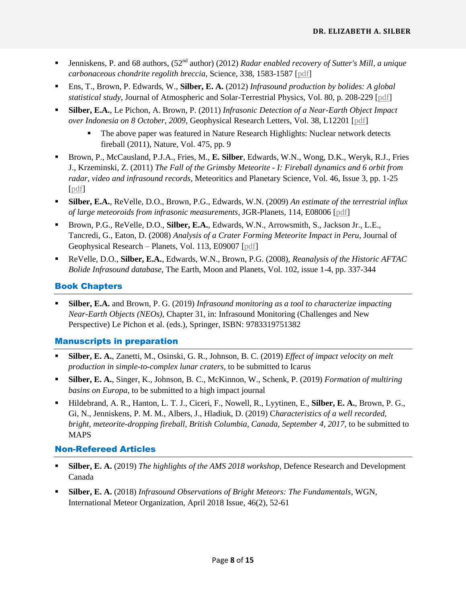- Jenniskens, P. and 68 authors,  $(52<sup>nd</sup>$  author) (2012) *Radar enabled recovery of Sutter's Mill, a unique carbonaceous chondrite regolith breccia*, Science, 338, 1583-1587 [\[pdf\]](http://astro.uwo.ca/~esilber/docs/2012_jenniskens-etal_Sutter%E2%80%99s%20Mill.pdf)
- Ens, T., Brown, P. Edwards, W., **Silber, E. A.** (2012) *Infrasound production by bolides: A global statistical study*, Journal of Atmospheric and Solar-Terrestrial Physics, Vol. 80, p. 208-229 [\[pdf\]](http://astro.uwo.ca/~esilber/docs/2012_ens-etal_statistical%20study.pdf)
- **Silber, E.A.**, Le Pichon, A. Brown, P. (2011) *Infrasonic Detection of a Near-Earth Object Impact over Indonesia on 8 October, 2009*, Geophysical Research Letters, Vol. 38, L12201 [\[pdf\]](http://astro.uwo.ca/~esilber/docs/2011_silber-etal_indonesia.pdf)
	- The above paper was featured in Nature Research Highlights: Nuclear network detects fireball (2011), Nature, Vol. 475, pp. 9
- Brown, P., McCausland, P.J.A., Fries, M., **E. Silber**, Edwards, W.N., Wong, D.K., Weryk, R.J., Fries J., Krzeminski, Z. (2011) *The Fall of the Grimsby Meteorite - I: Fireball dynamics and 6 orbit from radar, video and infrasound records*, Meteoritics and Planetary Science, Vol. 46, Issue 3, pp. 1-25 [\[pdf\]](http://astro.uwo.ca/~esilber/docs/2011_brown-etal_grimsby.pdf)
- **Silber, E.A.**, ReVelle, D.O., Brown, P.G., Edwards, W.N. (2009) *An estimate of the terrestrial influx of large meteoroids from infrasonic measurements*, JGR-Planets, 114, E08006 [\[pdf\]](http://astro.uwo.ca/~esilber/docs/2009_silber-etal_terrestrial%20influx.pdf)
- Brown, P.G., ReVelle, D.O., **Silber, E.A.**, Edwards, W.N., Arrowsmith, S., Jackson Jr., L.E., Tancredi, G., Eaton, D. (2008) *Analysis of a Crater Forming Meteorite Impact in Peru*, Journal of Geophysical Research – Planets, Vol. 113, E09007 [\[pdf\]](http://astro.uwo.ca/~esilber/docs/2008_brown-etal_peru.pdf)
- ReVelle, D.O., **Silber, E.A.**, Edwards, W.N., Brown, P.G. (2008), *Reanalysis of the Historic AFTAC Bolide Infrasound database*, The Earth, Moon and Planets, Vol. 102, issue 1-4, pp. 337-344

## Book Chapters

 **Silber, E.A.** and Brown, P. G. (2019) *Infrasound monitoring as a tool to characterize impacting Near-Earth Objects (NEOs)*, Chapter 31, in: Infrasound Monitoring (Challenges and New Perspective) Le Pichon et al. (eds.), Springer, ISBN: 9783319751382

## Manuscripts in preparation

- **Silber, E. A.**, Zanetti, M., Osinski, G. R., Johnson, B. C. (2019) *Effect of impact velocity on melt production in simple-to-complex lunar craters*, to be submitted to Icarus
- **Silber, E. A.**, Singer, K., Johnson, B. C., McKinnon, W., Schenk, P. (2019) *Formation of multiring basins on Europa*, to be submitted to a high impact journal
- Hildebrand, A. R., Hanton, L. T. J., Ciceri, F., Nowell, R., Lyytinen, E., **Silber, E. A.**, Brown, P. G., Gi, N., Jenniskens, P. M. M., Albers, J., Hladiuk, D. (2019) C*haracteristics of a well recorded, bright, meteorite-dropping fireball, British Columbia, Canada, September 4, 2017*, to be submitted to MAPS

### Non-Refereed Articles

- **Silber, E. A.** (2019) *The highlights of the AMS 2018 workshop*, Defence Research and Development Canada
- **Silber, E. A.** (2018) *Infrasound Observations of Bright Meteors: The Fundamentals*, WGN, International Meteor Organization, April 2018 Issue, 46(2), 52-61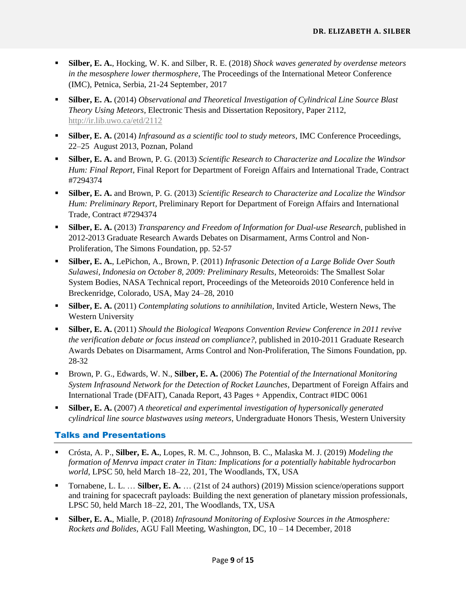- **Silber, E. A.**, Hocking, W. K. and Silber, R. E. (2018) *Shock waves generated by overdense meteors in the mesosphere lower thermosphere*, The Proceedings of the International Meteor Conference (IMC), Petnica, Serbia, 21-24 September, 2017
- **Silber, E. A.** (2014) *Observational and Theoretical Investigation of Cylindrical Line Source Blast Theory Using Meteors*, Electronic Thesis and Dissertation Repository, Paper 2112, <http://ir.lib.uwo.ca/etd/2112>
- **Silber, E. A.** (2014) *Infrasound as a scientific tool to study meteors*, IMC Conference Proceedings, 22–25 August 2013, Poznan, Poland
- **Silber, E. A.** and Brown, P. G. (2013) *Scientific Research to Characterize and Localize the Windsor Hum: Final Report*, Final Report for Department of Foreign Affairs and International Trade, Contract #7294374
- **Silber, E. A.** and Brown, P. G. (2013) *Scientific Research to Characterize and Localize the Windsor Hum: Preliminary Report*, Preliminary Report for Department of Foreign Affairs and International Trade, Contract #7294374
- **Silber, E. A.** (2013) *Transparency and Freedom of Information for Dual-use Research,* published in 2012-2013 Graduate Research Awards Debates on Disarmament, Arms Control and Non-Proliferation, The Simons Foundation, pp. 52-57
- **Silber, E. A.**, LePichon, A., Brown, P. (2011) *Infrasonic Detection of a Large Bolide Over South Sulawesi, Indonesia on October 8, 2009: Preliminary Results*, Meteoroids: The Smallest Solar System Bodies, NASA Technical report, Proceedings of the Meteoroids 2010 Conference held in Breckenridge, Colorado, USA, May 24–28, 2010
- **Silber, E. A.** (2011) *Contemplating solutions to annihilation*, Invited Article, Western News, The Western University
- **Silber, E. A.** (2011) *Should the Biological Weapons Convention Review Conference in 2011 revive the verification debate or focus instead on compliance?*, published in 2010-2011 Graduate Research Awards Debates on Disarmament, Arms Control and Non-Proliferation, The Simons Foundation, pp. 28-32
- Brown, P. G., Edwards, W. N., **Silber, E. A.** (2006) *The Potential of the International Monitoring System Infrasound Network for the Detection of Rocket Launches*, Department of Foreign Affairs and International Trade (DFAIT), Canada Report, 43 Pages + Appendix, Contract #IDC 0061
- **Silber, E. A.** (2007) *A theoretical and experimental investigation of hypersonically generated cylindrical line source blastwaves using meteors*, Undergraduate Honors Thesis, Western University

## Talks and Presentations

- Crósta, A. P., **Silber, E. A.**, Lopes, R. M. C., Johnson, B. C., Malaska M. J. (2019) *Modeling the formation of Menrva impact crater in Titan: Implications for a potentially habitable hydrocarbon world*, LPSC 50, held March 18–22, 201, The Woodlands, TX, USA
- Tornabene, L. L. … **Silber, E. A.** … (21st of 24 authors) (2019) Mission science/operations support and training for spacecraft payloads: Building the next generation of planetary mission professionals, LPSC 50, held March 18–22, 201, The Woodlands, TX, USA
- **Silber, E. A.**, Mialle, P. (2018) *Infrasound Monitoring of Explosive Sources in the Atmosphere: Rockets and Bolides*, AGU Fall Meeting, Washington, DC, 10 – 14 December, 2018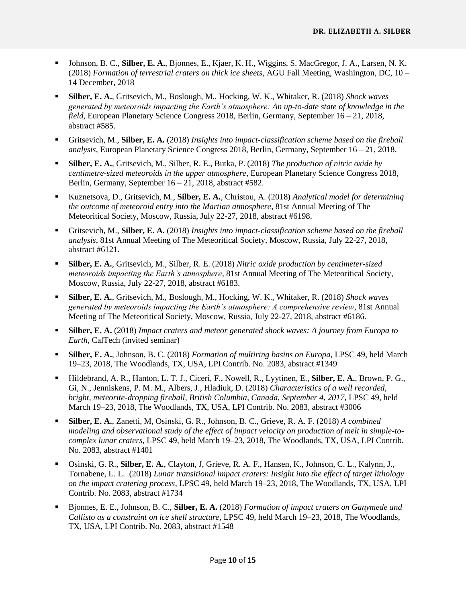- Johnson, B. C., **Silber, E. A.**, Bjonnes, E., Kjaer, K. H., Wiggins, S. MacGregor, J. A., Larsen, N. K. (2018) *Formation of terrestrial craters on thick ice sheets*, AGU Fall Meeting, Washington, DC, 10 – 14 December, 2018
- **Silber, E. A.**, Gritsevich, M., Boslough, M., Hocking, W. K., Whitaker, R. (2018) *Shock waves generated by meteoroids impacting the Earth's atmosphere: An up-to-date state of knowledge in the field*, European Planetary Science Congress 2018, Berlin, Germany, September 16 – 21, 2018, abstract #585.
- Gritsevich, M., **Silber, E. A.** (2018) *Insights into impact-classification scheme based on the fireball analysis*, European Planetary Science Congress 2018, Berlin, Germany, September 16 – 21, 2018.
- **Silber, E. A.**, Gritsevich, M., Silber, R. E., Butka, P. (2018) *The production of nitric oxide by centimetre-sized meteoroids in the upper atmosphere*, European Planetary Science Congress 2018, Berlin, Germany, September 16 – 21, 2018, abstract #582.
- Kuznetsova, D., Gritsevich, M., **Silber, E. A.**, Christou, A. (2018) *Analytical model for determining the outcome of meteoroid entry into the Martian atmosphere*, 81st Annual Meeting of The Meteoritical Society, Moscow, Russia, July 22-27, 2018, abstract #6198.
- Gritsevich, M., **Silber, E. A.** (2018) *Insights into impact-classification scheme based on the fireball analysis*, 81st Annual Meeting of The Meteoritical Society, Moscow, Russia, July 22-27, 2018, abstract #6121.
- **Silber, E. A.**, Gritsevich, M., Silber, R. E. (2018) *Nitric oxide production by centimeter-sized meteoroids impacting the Earth's atmosphere*, 81st Annual Meeting of The Meteoritical Society, Moscow, Russia, July 22-27, 2018, abstract #6183.
- **Silber, E. A.**, Gritsevich, M., Boslough, M., Hocking, W. K., Whitaker, R. (2018) *Shock waves generated by meteoroids impacting the Earth's atmosphere: A comprehensive review*, 81st Annual Meeting of The Meteoritical Society, Moscow, Russia, July 22-27, 2018, abstract #6186.
- **Silber, E. A.** (2018) *Impact craters and meteor generated shock waves: A journey from Europa to Earth*, CalTech (invited seminar)
- **Silber, E. A.**, Johnson, B. C. (2018) *Formation of multiring basins on Europa*, LPSC 49, held March 19–23, 2018, The Woodlands, TX, USA, LPI Contrib. No. 2083, abstract #1349
- Hildebrand, A. R., Hanton, L. T. J., Ciceri, F., Nowell, R., Lyytinen, E., **Silber, E. A.**, Brown, P. G., Gi, N., Jenniskens, P. M. M., Albers, J., Hladiuk, D. (2018) *Characteristics of a well recorded, bright, meteorite-dropping fireball, British Columbia, Canada, September 4, 2017*, LPSC 49, held March 19–23, 2018, The Woodlands, TX, USA, LPI Contrib. No. 2083, abstract #3006
- **Silber, E. A.**, Zanetti, M, Osinski, G. R., Johnson, B. C., Grieve, R. A. F. (2018) *A combined modeling and observational study of the effect of impact velocity on production of melt in simple-tocomplex lunar craters*, LPSC 49, held March 19–23, 2018, The Woodlands, TX, USA, LPI Contrib. No. 2083, abstract #1401
- Osinski, G. R., **Silber, E. A.**, Clayton, J, Grieve, R. A. F., Hansen, K., Johnson, C. L., Kalynn, J., Tornabene, L. L. (2018) *Lunar transitional impact craters: Insight into the effect of target lithology on the impact cratering process*, LPSC 49, held March 19–23, 2018, The Woodlands, TX, USA, LPI Contrib. No. 2083, abstract #1734
- Bjonnes, E. E., Johnson, B. C., **Silber, E. A.** (2018) *Formation of impact craters on Ganymede and Callisto as a constraint on ice shell structure*, LPSC 49, held March 19–23, 2018, The Woodlands, TX, USA, LPI Contrib. No. 2083, abstract #1548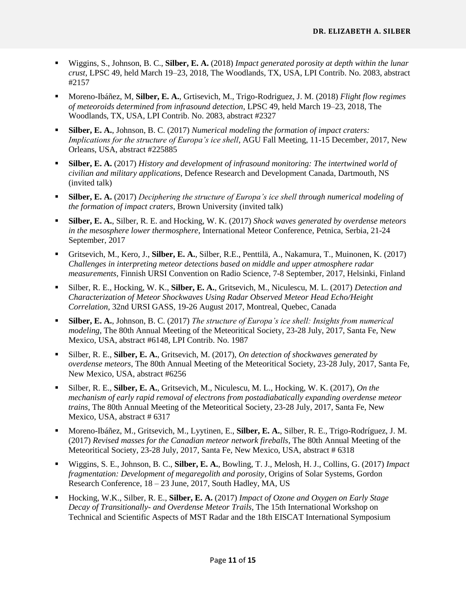- Wiggins, S., Johnson, B. C., **Silber, E. A.** (2018) *Impact generated porosity at depth within the lunar crust*, LPSC 49, held March 19–23, 2018, The Woodlands, TX, USA, LPI Contrib. No. 2083, abstract #2157
- Moreno-Ibáñez, M, **Silber, E. A.**, Grtisevich, M., Trigo-Rodriguez, J. M. (2018) *Flight flow regimes of meteoroids determined from infrasound detection*, LPSC 49, held March 19–23, 2018, The Woodlands, TX, USA, LPI Contrib. No. 2083, abstract #2327
- **Silber, E. A.**, Johnson, B. C. (2017) *Numerical modeling the formation of impact craters: Implications for the structure of Europa's ice shell*, AGU Fall Meeting, 11-15 December, 2017, New Orleans, USA, abstract #225885
- **Silber, E. A.** (2017) *History and development of infrasound monitoring: The intertwined world of civilian and military applications*, Defence Research and Development Canada, Dartmouth, NS (invited talk)
- **Silber, E. A.** (2017) *Deciphering the structure of Europa's ice shell through numerical modeling of the formation of impact craters*, Brown University (invited talk)
- **Silber, E. A.**, Silber, R. E. and Hocking, W. K. (2017) *Shock waves generated by overdense meteors in the mesosphere lower thermosphere*, International Meteor Conference, Petnica, Serbia, 21-24 September, 2017
- Gritsevich, M., Kero, J., **Silber, E. A.**, Silber, R.E., Penttilä, A., Nakamura, T., Muinonen, K. (2017) *Challenges in interpreting meteor detections based on middle and upper atmosphere radar measurements*, Finnish URSI Convention on Radio Science, 7-8 September, 2017, Helsinki, Finland
- Silber, R. E., Hocking, W. K., **Silber, E. A.**, Gritsevich, M., Niculescu, M. L. (2017) *Detection and Characterization of Meteor Shockwaves Using Radar Observed Meteor Head Echo/Height Correlation*, 32nd URSI GASS, 19-26 August 2017, Montreal, Quebec, Canada
- **Silber, E. A.**, Johnson, B. C. (2017) *The structure of Europa's ice shell: Insights from numerical modeling*, The 80th Annual Meeting of the Meteoritical Society, 23-28 July, 2017, Santa Fe, New Mexico, USA, abstract #6148, LPI Contrib. No. 1987
- Silber, R. E., **Silber, E. A.**, Gritsevich, M. (2017), *On detection of shockwaves generated by overdense meteors*, The 80th Annual Meeting of the Meteoritical Society, 23-28 July, 2017, Santa Fe, New Mexico, USA, abstract #6256
- Silber, R. E., **Silber, E. A.**, Gritsevich, M., Niculescu, M. L., Hocking, W. K. (2017), *On the mechanism of early rapid removal of electrons from postadiabatically expanding overdense meteor trains*, The 80th Annual Meeting of the Meteoritical Society, 23-28 July, 2017, Santa Fe, New Mexico, USA, abstract # 6317
- Moreno-Ibáñez, M., Gritsevich, M., Lyytinen, E., **Silber, E. A.**, Silber, R. E., Trigo-Rodríguez, J. M. (2017) *Revised masses for the Canadian meteor network fireballs*, The 80th Annual Meeting of the Meteoritical Society, 23-28 July, 2017, Santa Fe, New Mexico, USA, abstract # 6318
- Wiggins, S. E., Johnson, B. C., **Silber, E. A.**, Bowling, T. J., Melosh, H. J., Collins, G. (2017) *Impact fragmentation: Development of megaregolith and porosity*, Origins of Solar Systems, Gordon Research Conference, 18 – 23 June, 2017, South Hadley, MA, US
- Hocking, W.K., Silber, R. E., **Silber, E. A.** (2017) *Impact of Ozone and Oxygen on Early Stage Decay of Transitionally- and Overdense Meteor Trails*, The 15th International Workshop on Technical and Scientific Aspects of MST Radar and the 18th EISCAT International Symposium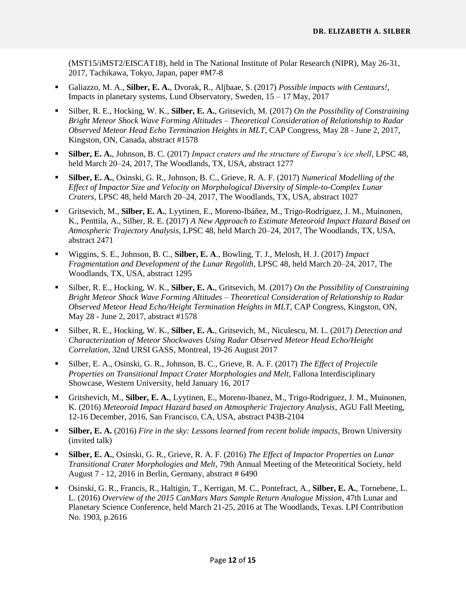(MST15/iMST2/EISCAT18), held in The National Institute of Polar Research (NIPR), May 26-31, 2017, Tachikawa, Tokyo, Japan, paper #M7-8

- Galiazzo, M. A., **Silber, E. A.**, Dvorak, R., Aljbaae, S. (2017) *Possible impacts with Centaurs!*, Impacts in planetary systems, Lund Observatory, Sweden, 15 – 17 May, 2017
- Silber, R. E., Hocking, W. K., **Silber, E. A.**, Gritsevich, M. (2017) *On the Possibility of Constraining Bright Meteor Shock Wave Forming Altitudes – Theoretical Consideration of Relationship to Radar Observed Meteor Head Echo Termination Heights in MLT*, CAP Congress, May 28 - June 2, 2017, Kingston, ON, Canada, abstract #1578
- **Silber, E. A.**, Johnson, B. C. (2017) *Impact craters and the structure of Europa's ice shell*, LPSC 48, held March 20–24, 2017, The Woodlands, TX, USA, abstract 1277
- **Silber, E. A.**, Osinski, G. R., Johnson, B. C., Grieve, R. A. F. (2017) *Numerical Modelling of the Effect of Impactor Size and Velocity on Morphological Diversity of Simple-to-Complex Lunar Craters*, LPSC 48, held March 20–24, 2017, The Woodlands, TX, USA, abstract 1027
- Gritsevich, M., **Silber, E. A.**, Lyytinen, E., Moreno-Ibáñez, M., Trigo-Rodríguez, J. M., Muinonen, K., Penttila, A., Silber, R. E. (2017) *A New Approach to Estimate Meteoroid Impact Hazard Based on Atmospheric Trajectory Analysis*, LPSC 48, held March 20–24, 2017, The Woodlands, TX, USA, abstract 2471
- Wiggins, S. E., Johnson, B. C., **Silber, E. A**., Bowling, T. J., Melosh, H. J. (2017) *Impact Fragmentation and Development of the Lunar Regolith*, LPSC 48, held March 20–24, 2017, The Woodlands, TX, USA, abstract 1295
- Silber, R. E., Hocking, W. K., **Silber, E. A.**, Gritsevich, M. (2017) *On the Possibility of Constraining Bright Meteor Shock Wave Forming Altitudes – Theoretical Consideration of Relationship to Radar Observed Meteor Head Echo/Height Termination Heights in MLT*, CAP Congress, Kingston, ON, May 28 - June 2, 2017, abstract #1578
- Silber, R. E., Hocking, W. K., **Silber, E. A.**, Gritsevich, M., Niculescu, M. L. (2017) *Detection and Characterization of Meteor Shockwaves Using Radar Observed Meteor Head Echo/Height Correlation*, 32nd URSI GASS, Montreal, 19-26 August 2017
- Silber, E. A., Osinski, G. R., Johnson, B. C., Grieve, R. A. F. (2017) *The Effect of Projectile Properties on Transitional Impact Crater Morphologies and Melt*, Fallona Interdisciplinary Showcase, Western University, held January 16, 2017
- Gritshevich, M., **Silber, E. A.**, Lyytinen, E., Moreno-Ibanez, M., Trigo-Rodriguez, J. M., Muinonen, K. (2016) *Meteoroid Impact Hazard based on Atmospheric Trajectory Analysis*, AGU Fall Meeting, 12-16 December, 2016, San Francisco, CA, USA, abstract P43B-2104
- **Silber, E. A.** (2016) *Fire in the sky: Lessons learned from recent bolide impacts*, Brown University (invited talk)
- **Silber, E. A.**, Osinski, G. R., Grieve, R. A. F. (2016) *The Effect of Impactor Properties on Lunar Transitional Crater Morphologies and Melt*, 79th Annual Meeting of the Meteoritical Society, held August 7 - 12, 2016 in Berlin, Germany, abstract # 6490
- Osinski, G. R., Francis, R., Haltigin, T., Kerrigan, M. C., Pontefract, A., **Silber, E. A.**, Tornebene, L. L. (2016) *Overview of the 2015 CanMars Mars Sample Return Analogue Mission*, 47th Lunar and Planetary Science Conference, held March 21-25, 2016 at The Woodlands, Texas. LPI Contribution No. 1903, p.2616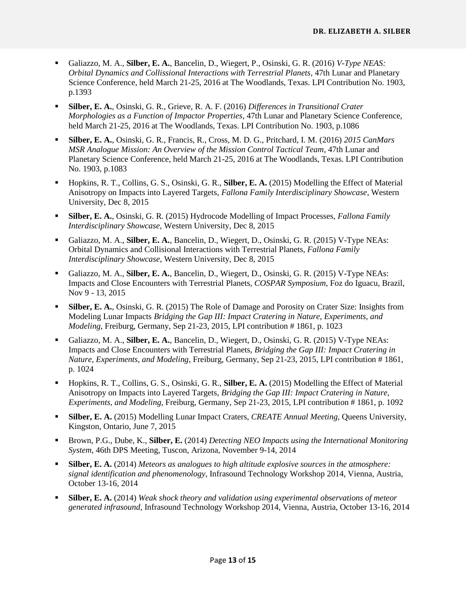- Galiazzo, M. A., **Silber, E. A.**, Bancelin, D., Wiegert, P., Osinski, G. R. (2016) *V-Type NEAS: Orbital Dynamics and Collissional Interactions with Terrestrial Planets*, 47th Lunar and Planetary Science Conference, held March 21-25, 2016 at The Woodlands, Texas. LPI Contribution No. 1903, p.1393
- **Silber, E. A.**, Osinski, G. R., Grieve, R. A. F. (2016) *Differences in Transitional Crater Morphologies as a Function of Impactor Properties*, 47th Lunar and Planetary Science Conference, held March 21-25, 2016 at The Woodlands, Texas. LPI Contribution No. 1903, p.1086
- **Silber, E. A.**, Osinski, G. R., Francis, R., Cross, M. D. G., Pritchard, I. M. (2016) *2015 CanMars MSR Analogue Mission: An Overview of the Mission Control Tactical Team*, 47th Lunar and Planetary Science Conference, held March 21-25, 2016 at The Woodlands, Texas. LPI Contribution No. 1903, p.1083
- Hopkins, R. T., Collins, G. S., Osinski, G. R., **Silber, E. A.** (2015) Modelling the Effect of Material Anisotropy on Impacts into Layered Targets, *Fallona Family Interdisciplinary Showcase*, Western University, Dec 8, 2015
- **Silber, E. A.**, Osinski, G. R. (2015) Hydrocode Modelling of Impact Processes, *Fallona Family Interdisciplinary Showcase*, Western University, Dec 8, 2015
- Galiazzo, M. A., **Silber, E. A.**, Bancelin, D., Wiegert, D., Osinski, G. R. (2015) V-Type NEAs: Orbital Dynamics and Collisional Interactions with Terrestrial Planets, *Fallona Family Interdisciplinary Showcase*, Western University, Dec 8, 2015
- Galiazzo, M. A., **Silber, E. A.**, Bancelin, D., Wiegert, D., Osinski, G. R. (2015) V-Type NEAs: Impacts and Close Encounters with Terrestrial Planets, *COSPAR Symposium*, Foz do Iguacu, Brazil, Nov 9 - 13, 2015
- **Silber, E. A.**, Osinski, G. R. (2015) The Role of Damage and Porosity on Crater Size: Insights from Modeling Lunar Impacts *Bridging the Gap III: Impact Cratering in Nature, Experiments, and Modeling*, Freiburg, Germany, Sep 21-23, 2015, LPI contribution # 1861, p. 1023
- Galiazzo, M. A., **Silber, E. A.**, Bancelin, D., Wiegert, D., Osinski, G. R. (2015) V-Type NEAs: Impacts and Close Encounters with Terrestrial Planets, *Bridging the Gap III: Impact Cratering in Nature, Experiments, and Modeling*, Freiburg, Germany, Sep 21-23, 2015, LPI contribution # 1861, p. 1024
- Hopkins, R. T., Collins, G. S., Osinski, G. R., **Silber, E. A.** (2015) Modelling the Effect of Material Anisotropy on Impacts into Layered Targets, *Bridging the Gap III: Impact Cratering in Nature, Experiments, and Modeling*, Freiburg, Germany, Sep 21-23, 2015, LPI contribution # 1861, p. 1092
- **Silber, E. A.** (2015) Modelling Lunar Impact Craters, *CREATE Annual Meeting,* Queens University, Kingston, Ontario, June 7, 2015
- Brown, P.G., Dube, K., **Silber, E.** (2014) *Detecting NEO Impacts using the International Monitoring System*, 46th DPS Meeting, Tuscon, Arizona, November 9-14, 2014
- **Silber, E. A.** (2014) *Meteors as analogues to high altitude explosive sources in the atmosphere: signal identification and phenomenology*, Infrasound Technology Workshop 2014, Vienna, Austria, October 13-16, 2014
- **Silber, E. A.** (2014) *Weak shock theory and validation using experimental observations of meteor generated infrasound*, Infrasound Technology Workshop 2014, Vienna, Austria, October 13-16, 2014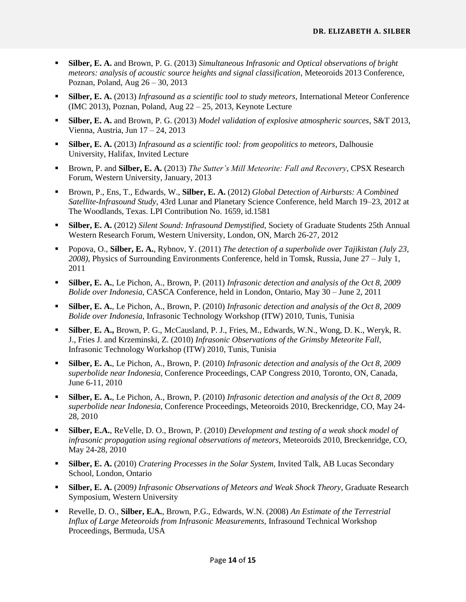- **Silber, E. A.** and Brown, P. G. (2013) *Simultaneous Infrasonic and Optical observations of bright meteors: analysis of acoustic source heights and signal classification*, Meteoroids 2013 Conference, Poznan, Poland, Aug 26 – 30, 2013
- **Silber, E. A.** (2013) *Infrasound as a scientific tool to study meteors*, International Meteor Conference (IMC 2013), Poznan, Poland, Aug 22 – 25, 2013, Keynote Lecture
- **Silber, E. A.** and Brown, P. G. (2013) *Model validation of explosive atmospheric sources*, S&T 2013, Vienna, Austria, Jun 17 – 24, 2013
- **Silber, E. A.** (2013) *Infrasound as a scientific tool: from geopolitics to meteors*, Dalhousie University, Halifax, Invited Lecture
- Brown, P. and **Silber, E. A.** (2013) *The Sutter's Mill Meteorite: Fall and Recovery*, CPSX Research Forum, Western University, January, 2013
- Brown, P., Ens, T., Edwards, W., **Silber, E. A.** (2012) *Global Detection of Airbursts: A Combined Satellite-Infrasound Study*, 43rd Lunar and Planetary Science Conference, held March 19–23, 2012 at The Woodlands, Texas. LPI Contribution No. 1659, id.1581
- **Silber, E. A.** (2012) *Silent Sound: Infrasound Demystified*, Society of Graduate Students 25th Annual Western Research Forum, Western University, London, ON, March 26-27, 2012
- Popova, O., **Silber, E. A.**, Rybnov, Y. (2011) *The detection of a superbolide over Tajikistan (July 23, 2008)*, Physics of Surrounding Environments Conference, held in Tomsk, Russia, June 27 – July 1, 2011
- **Silber, E. A.**, Le Pichon, A., Brown, P. (2011) *Infrasonic detection and analysis of the Oct 8, 2009 Bolide over Indonesia*, CASCA Conference, held in London, Ontario, May 30 – June 2, 2011
- **Silber, E. A.**, Le Pichon, A., Brown, P. (2010) *Infrasonic detection and analysis of the Oct 8, 2009 Bolide over Indonesia*, Infrasonic Technology Workshop (ITW) 2010, Tunis, Tunisia
- **Silber**, **E. A.,** Brown, P. G., McCausland, P. J., Fries, M., Edwards, W.N., Wong, D. K., Weryk, R. J., Fries J. and Krzeminski, Z. (2010) *Infrasonic Observations of the Grimsby Meteorite Fall*, Infrasonic Technology Workshop (ITW) 2010, Tunis, Tunisia
- **Silber, E. A.**, Le Pichon, A., Brown, P. (2010) *Infrasonic detection and analysis of the Oct 8, 2009 superbolide near Indonesia*, Conference Proceedings, CAP Congress 2010, Toronto, ON, Canada, June 6-11, 2010
- **Silber, E. A.**, Le Pichon, A., Brown, P. (2010) *Infrasonic detection and analysis of the Oct 8, 2009 superbolide near Indonesia*, Conference Proceedings, Meteoroids 2010, Breckenridge, CO, May 24- 28, 2010
- **Silber, E.A.**, ReVelle, D. O., Brown, P. (2010) *Development and testing of a weak shock model of infrasonic propagation using regional observations of meteors*, Meteoroids 2010, Breckenridge, CO, May 24-28, 2010
- **Silber, E. A.** (2010) *Cratering Processes in the Solar System,* Invited Talk, AB Lucas Secondary School, London, Ontario
- **Silber, E. A.** (2009*) Infrasonic Observations of Meteors and Weak Shock Theory*, Graduate Research Symposium, Western University
- Revelle, D. O., **Silber, E.A.**, Brown, P.G., Edwards, W.N. (2008) *An Estimate of the Terrestrial Influx of Large Meteoroids from Infrasonic Measurements,* Infrasound Technical Workshop Proceedings, Bermuda, USA